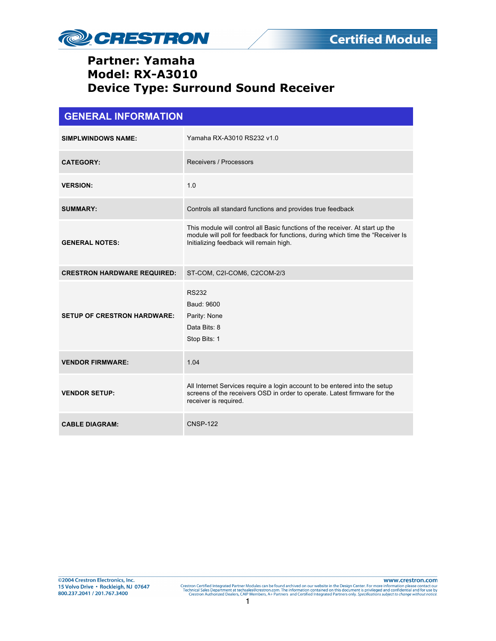

| <b>GENERAL INFORMATION</b>         |                                                                                                                                                                                                             |  |
|------------------------------------|-------------------------------------------------------------------------------------------------------------------------------------------------------------------------------------------------------------|--|
| <b>SIMPLWINDOWS NAME:</b>          | Yamaha RX-A3010 RS232 v1.0                                                                                                                                                                                  |  |
| <b>CATEGORY:</b>                   | Receivers / Processors                                                                                                                                                                                      |  |
| <b>VERSION:</b>                    | 1.0                                                                                                                                                                                                         |  |
| <b>SUMMARY:</b>                    | Controls all standard functions and provides true feedback                                                                                                                                                  |  |
| <b>GENERAL NOTES:</b>              | This module will control all Basic functions of the receiver. At start up the<br>module will poll for feedback for functions, during which time the "Receiver Is<br>Initializing feedback will remain high. |  |
| <b>CRESTRON HARDWARE REQUIRED:</b> | ST-COM, C2I-COM6, C2COM-2/3                                                                                                                                                                                 |  |
| <b>SETUP OF CRESTRON HARDWARE:</b> | <b>RS232</b><br>Baud: 9600<br>Parity: None<br>Data Bits: 8<br>Stop Bits: 1                                                                                                                                  |  |
| <b>VENDOR FIRMWARE:</b>            | 1.04                                                                                                                                                                                                        |  |
| <b>VENDOR SETUP:</b>               | All Internet Services require a login account to be entered into the setup<br>screens of the receivers OSD in order to operate. Latest firmware for the<br>receiver is required.                            |  |
| <b>CABLE DIAGRAM:</b>              | <b>CNSP-122</b>                                                                                                                                                                                             |  |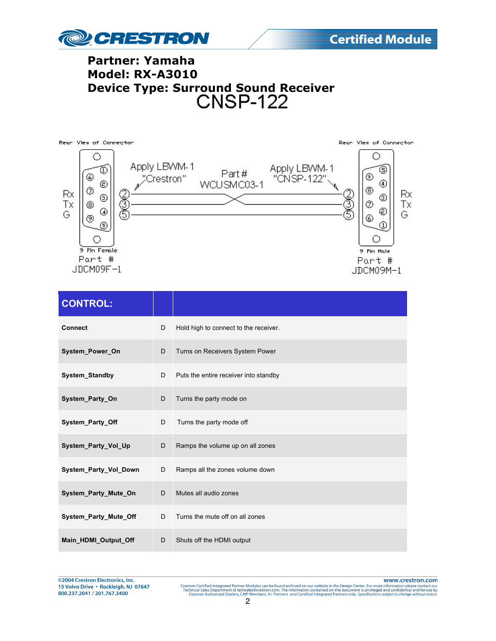



| <b>CONTROL:</b>              |   |                                       |
|------------------------------|---|---------------------------------------|
| <b>Connect</b>               | D | Hold high to connect to the receiver. |
| System_Power_On              | D | Turns on Receivers System Power       |
| <b>System Standby</b>        | D | Puts the entire receiver into standby |
| System_Party_On              | D | Turns the party mode on               |
| System_Party_Off             | D | Turns the party mode off              |
| System Party Vol Up          | D | Ramps the volume up on all zones      |
| System_Party_Vol_Down        | D | Ramps all the zones volume down       |
| System_Party_Mute_On         | D | Mutes all audio zones                 |
| <b>System Party Mute Off</b> | D | Turns the mute off on all zones       |
| Main HDMI Output Off         | D | Shuts off the HDMI output             |

www.crestron.com Crestron Certified Integrated Partner Modules can be found archived on our website in the Design Center. For more information please contact our Technical Sales Department at technical Sales Department at the Sales Center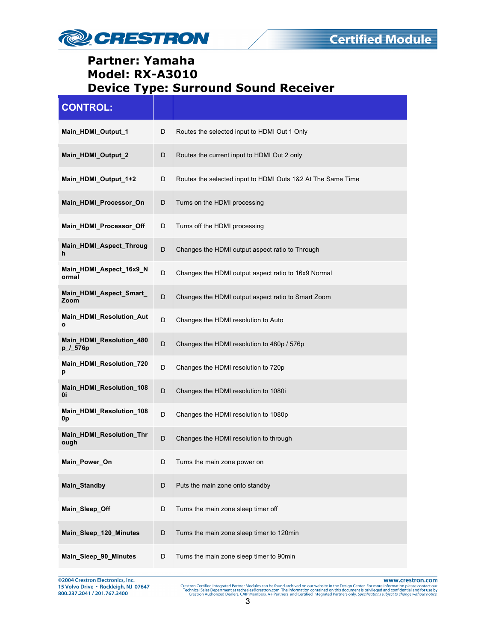

| <b>CONTROL:</b>                      |             |                                                             |
|--------------------------------------|-------------|-------------------------------------------------------------|
| Main HDMI Output 1                   | D           | Routes the selected input to HDMI Out 1 Only                |
| Main_HDMI_Output_2                   | D           | Routes the current input to HDMI Out 2 only                 |
| Main_HDMI_Output_1+2                 | D           | Routes the selected input to HDMI Outs 1&2 At The Same Time |
| Main_HDMI_Processor_On               | D           | Turns on the HDMI processing                                |
| Main_HDMI_Processor_Off              | D           | Turns off the HDMI processing                               |
| Main_HDMI_Aspect_Throug<br>h         | D           | Changes the HDMI output aspect ratio to Through             |
| Main_HDMI_Aspect_16x9_N<br>ormal     | D           | Changes the HDMI output aspect ratio to 16x9 Normal         |
| Main_HDMI_Aspect_Smart_<br>Zoom      | D           | Changes the HDMI output aspect ratio to Smart Zoom          |
| Main_HDMI_Resolution_Aut<br>ο        | D           | Changes the HDMI resolution to Auto                         |
| Main_HDMI_Resolution_480<br>p_/_576p | D           | Changes the HDMI resolution to 480p / 576p                  |
| Main_HDMI_Resolution_720<br>р        | D           | Changes the HDMI resolution to 720p                         |
| Main_HDMI_Resolution_108<br>0i       | D           | Changes the HDMI resolution to 1080i                        |
| Main_HDMI_Resolution_108<br>0p       | D           | Changes the HDMI resolution to 1080p                        |
| Main_HDMI_Resolution_Thr<br>ough     | D           | Changes the HDMI resolution to through                      |
| Main Power On                        | D           | Turns the main zone power on                                |
| Main_Standby                         | D           | Puts the main zone onto standby                             |
| Main_Sleep_Off                       | D           | Turns the main zone sleep timer off                         |
| Main_Sleep_120_Minutes               | $\mathsf D$ | Turns the main zone sleep timer to 120min                   |
| Main_Sleep_90_Minutes                | D           | Turns the main zone sleep timer to 90min                    |

@2004 Crestron Electronics, Inc.<br>15 Volvo Drive • Rockleigh, NJ 07647 800.237.2041 / 201.767.3400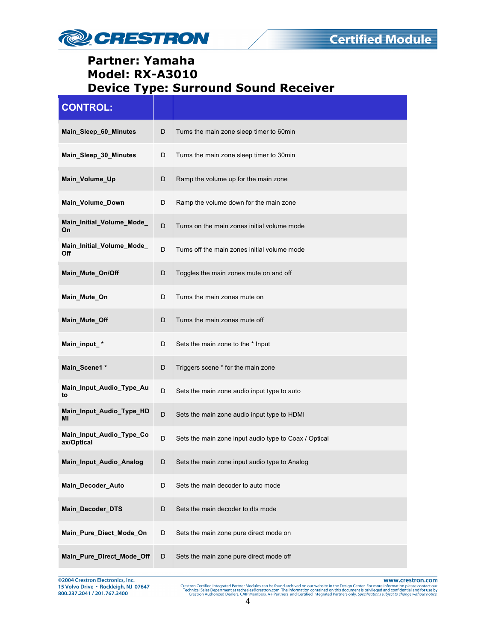

| <b>CONTROL:</b>                        |             |                                                       |
|----------------------------------------|-------------|-------------------------------------------------------|
| Main_Sleep_60_Minutes                  | D           | Turns the main zone sleep timer to 60min              |
| Main_Sleep_30_Minutes                  | D           | Turns the main zone sleep timer to 30min              |
| Main_Volume_Up                         | D           | Ramp the volume up for the main zone                  |
| Main_Volume_Down                       | D           | Ramp the volume down for the main zone                |
| Main_Initial_Volume_Mode_<br>On        | D           | Turns on the main zones initial volume mode           |
| Main_Initial_Volume_Mode_<br>Off       | D           | Turns off the main zones initial volume mode          |
| Main Mute On/Off                       | D           | Toggles the main zones mute on and off                |
| Main_Mute_On                           | D           | Turns the main zones mute on                          |
| Main Mute Off                          | D           | Turns the main zones mute off                         |
| Main_input_*                           | D           | Sets the main zone to the * Input                     |
| Main_Scene1 *                          | D           | Triggers scene * for the main zone                    |
| Main_Input_Audio_Type_Au<br>to         | D           | Sets the main zone audio input type to auto           |
| Main_Input_Audio_Type_HD<br>МΙ         | D           | Sets the main zone audio input type to HDMI           |
| Main_Input_Audio_Type_Co<br>ax/Optical | D           | Sets the main zone input audio type to Coax / Optical |
| Main_Input_Audio_Analog                | D           | Sets the main zone input audio type to Analog         |
| Main_Decoder_Auto                      | D           | Sets the main decoder to auto mode                    |
| Main_Decoder_DTS                       | D           | Sets the main decoder to dts mode                     |
| Main_Pure_Diect_Mode_On                | D           | Sets the main zone pure direct mode on                |
| Main_Pure_Direct_Mode_Off              | $\mathsf D$ | Sets the main zone pure direct mode off               |

©2004 Crestron Electronics, Inc.<br>15 Volvo Drive • Rockleigh, NJ 07647<br>800.237.2041 / 201.767.3400

www.crestron.com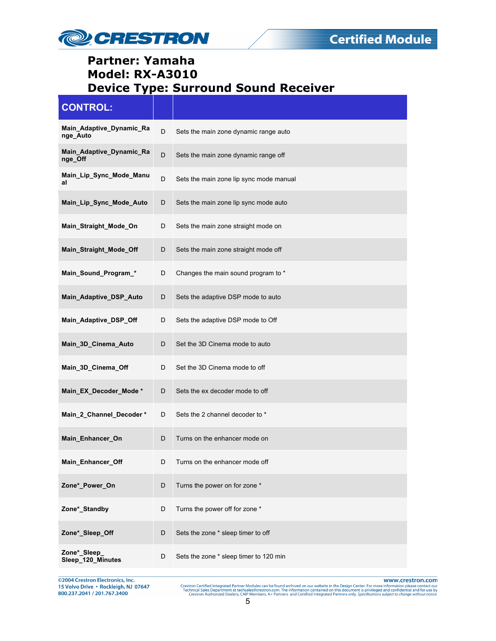

| <b>CONTROL:</b>                      |    |                                         |
|--------------------------------------|----|-----------------------------------------|
| Main_Adaptive_Dynamic_Ra<br>nge_Auto | D  | Sets the main zone dynamic range auto   |
| Main_Adaptive_Dynamic_Ra<br>nge_Off  | D  | Sets the main zone dynamic range off    |
| Main_Lip_Sync_Mode_Manu<br>al        | D  | Sets the main zone lip sync mode manual |
| Main_Lip_Sync_Mode_Auto              | D  | Sets the main zone lip sync mode auto   |
| Main_Straight_Mode_On                | D  | Sets the main zone straight mode on     |
| Main_Straight_Mode_Off               | D  | Sets the main zone straight mode off    |
| Main_Sound_Program_*                 | D  | Changes the main sound program to *     |
| Main_Adaptive_DSP_Auto               | D  | Sets the adaptive DSP mode to auto      |
| Main Adaptive DSP Off                | D  | Sets the adaptive DSP mode to Off       |
| Main_3D_Cinema_Auto                  | D  | Set the 3D Cinema mode to auto          |
| Main_3D_Cinema_Off                   | D  | Set the 3D Cinema mode to off           |
| Main_EX_Decoder_Mode*                | D  | Sets the ex decoder mode to off         |
| Main_2_Channel_Decoder*              | D  | Sets the 2 channel decoder to *         |
| Main_Enhancer_On                     | D  | Turns on the enhancer mode on           |
| Main_Enhancer_Off                    | D. | Turns on the enhancer mode off          |
| Zone*_Power_On                       | D  | Turns the power on for zone *           |
| Zone*_Standby                        | D  | Turns the power off for zone *          |
| Zone*_Sleep_Off                      | D  | Sets the zone * sleep timer to off      |
| Zone*_Sleep_<br>Sleep_120_Minutes    | D  | Sets the zone * sleep timer to 120 min  |

@2004 Crestron Electronics, Inc.<br>15 Volvo Drive • Rockleigh, NJ 07647<br>800.237.2041 / 201.767.3400

www.crestron.com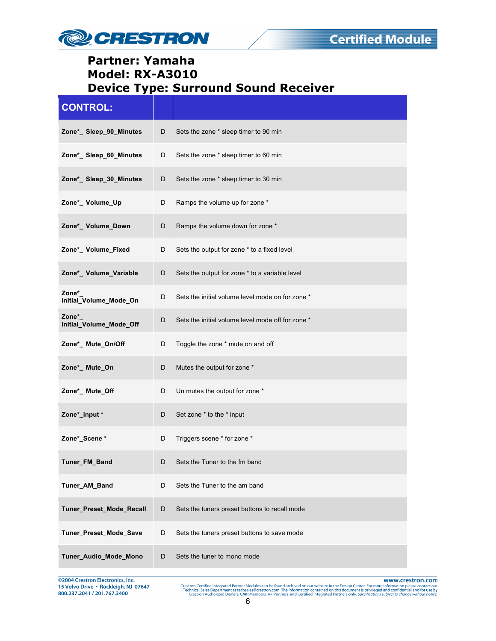

| <b>CONTROL:</b>                  |             |                                                   |
|----------------------------------|-------------|---------------------------------------------------|
| Zone*_ Sleep_90_Minutes          | D           | Sets the zone * sleep timer to 90 min             |
| Zone*_ Sleep_60_Minutes          | D           | Sets the zone * sleep timer to 60 min             |
| Zone*_ Sleep_30_Minutes          | D           | Sets the zone * sleep timer to 30 min             |
| Zone*_Volume_Up                  | D           | Ramps the volume up for zone *                    |
| Zone*_ Volume_Down               | D           | Ramps the volume down for zone *                  |
| Zone*_ Volume_Fixed              | D           | Sets the output for zone * to a fixed level       |
| Zone*_ Volume_Variable           | D           | Sets the output for zone * to a variable level    |
| Zone*<br>Initial_Volume_Mode_On  | D           | Sets the initial volume level mode on for zone *  |
| Zone*<br>Initial_Volume_Mode_Off | D           | Sets the initial volume level mode off for zone * |
| Zone*_ Mute_On/Off               | D           | Toggle the zone * mute on and off                 |
| Zone*_ Mute_On                   | D           | Mutes the output for zone *                       |
| Zone*_ Mute_Off                  | D           | Un mutes the output for zone *                    |
| Zone*_input *                    | D           | Set zone * to the * input                         |
| Zone*_Scene *                    | D           | Triggers scene * for zone *                       |
| Tuner_FM_Band                    | D           | Sets the Tuner to the fm band                     |
| Tuner_AM_Band                    | D           | Sets the Tuner to the am band                     |
| Tuner_Preset_Mode_Recall         | $\mathsf D$ | Sets the tuners preset buttons to recall mode     |
| Tuner_Preset_Mode_Save           | D           | Sets the tuners preset buttons to save mode       |
| Tuner_Audio_Mode_Mono            | D           | Sets the tuner to mono mode                       |

©2004 Crestron Electronics, Inc.<br>15 Volvo Drive • Rockleigh, NJ 07647<br>800.237.2041 / 201.767.3400

www.crestron.com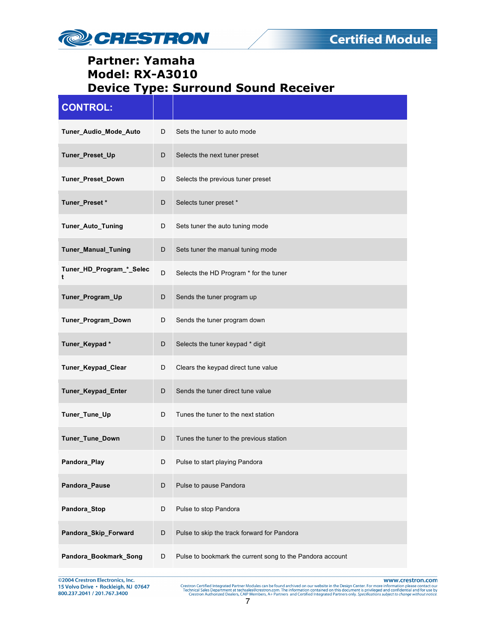

| <b>CONTROL:</b>               |             |                                                           |
|-------------------------------|-------------|-----------------------------------------------------------|
| Tuner_Audio_Mode_Auto         | D           | Sets the tuner to auto mode                               |
| Tuner_Preset_Up               | D           | Selects the next tuner preset                             |
| <b>Tuner Preset Down</b>      | D           | Selects the previous tuner preset                         |
| Tuner_Preset*                 | D           | Selects tuner preset *                                    |
| Tuner_Auto_Tuning             | D           | Sets tuner the auto tuning mode                           |
| Tuner_Manual_Tuning           | D           | Sets tuner the manual tuning mode                         |
| Tuner_HD_Program_*_Selec<br>t | D           | Selects the HD Program * for the tuner                    |
| Tuner_Program_Up              | D           | Sends the tuner program up                                |
| Tuner_Program_Down            | D           | Sends the tuner program down                              |
| Tuner_Keypad*                 | D           | Selects the tuner keypad * digit                          |
| Tuner_Keypad_Clear            | D           | Clears the keypad direct tune value                       |
| Tuner_Keypad_Enter            | D           | Sends the tuner direct tune value                         |
| Tuner_Tune_Up                 | D           | Tunes the tuner to the next station                       |
| Tuner_Tune_Down               | D           | Tunes the tuner to the previous station                   |
| Pandora_Play                  |             | Pulse to start playing Pandora                            |
| Pandora_Pause                 | $\mathsf D$ | Pulse to pause Pandora                                    |
| Pandora_Stop                  | D           | Pulse to stop Pandora                                     |
| Pandora_Skip_Forward          | D           | Pulse to skip the track forward for Pandora               |
| Pandora_Bookmark_Song         | D           | Pulse to bookmark the current song to the Pandora account |

@2004 Crestron Electronics, Inc.<br>15 Volvo Drive • Rockleigh, NJ 07647<br>800.237.2041 / 201.767.3400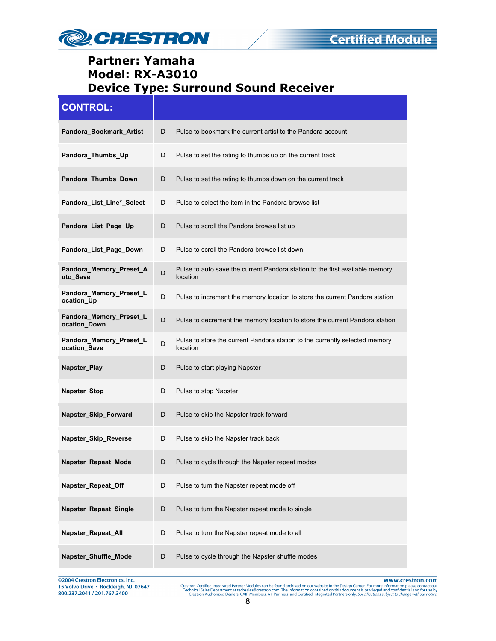

| <b>CONTROL:</b>                         |   |                                                                                          |
|-----------------------------------------|---|------------------------------------------------------------------------------------------|
| Pandora_Bookmark_Artist                 | D | Pulse to bookmark the current artist to the Pandora account                              |
| Pandora_Thumbs_Up                       | D | Pulse to set the rating to thumbs up on the current track                                |
| Pandora_Thumbs_Down                     | D | Pulse to set the rating to thumbs down on the current track                              |
| Pandora_List_Line*_Select               | D | Pulse to select the item in the Pandora browse list                                      |
| Pandora_List_Page_Up                    | D | Pulse to scroll the Pandora browse list up                                               |
| Pandora_List_Page_Down                  | D | Pulse to scroll the Pandora browse list down                                             |
| Pandora_Memory_Preset_A<br>uto Save     | D | Pulse to auto save the current Pandora station to the first available memory<br>location |
| Pandora_Memory_Preset_L<br>ocation_Up   | D | Pulse to increment the memory location to store the current Pandora station              |
| Pandora_Memory_Preset_L<br>ocation Down | D | Pulse to decrement the memory location to store the current Pandora station              |
| Pandora_Memory_Preset_L<br>ocation_Save | D | Pulse to store the current Pandora station to the currently selected memory<br>location  |
| Napster_Play                            | D | Pulse to start playing Napster                                                           |
| Napster_Stop                            | D | Pulse to stop Napster                                                                    |
| Napster_Skip_Forward                    | D | Pulse to skip the Napster track forward                                                  |
| Napster Skip Reverse                    | D | Pulse to skip the Napster track back                                                     |
| Napster_Repeat_Mode                     | D | Pulse to cycle through the Napster repeat modes                                          |
| Napster_Repeat_Off                      | D | Pulse to turn the Napster repeat mode off                                                |
| Napster_Repeat_Single                   | D | Pulse to turn the Napster repeat mode to single                                          |
| Napster_Repeat_All                      | D | Pulse to turn the Napster repeat mode to all                                             |
| Napster_Shuffle_Mode                    | D | Pulse to cycle through the Napster shuffle modes                                         |

@2004 Crestron Electronics, Inc. 15 Volvo Drive · Rockleigh, NJ 07647 800.237.2041 / 201.767.3400

www.crestron.com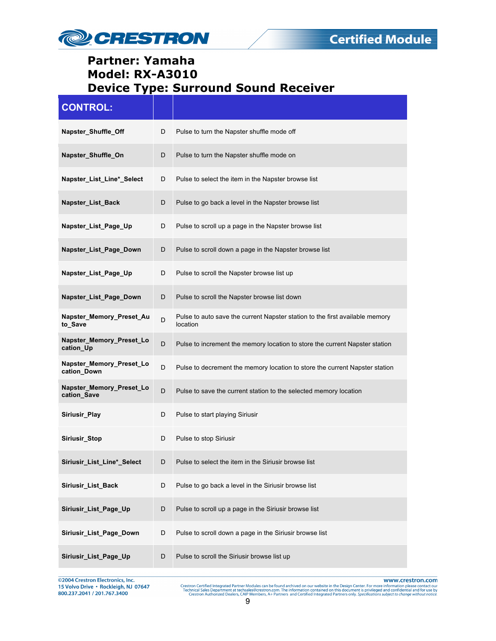

| <b>CONTROL:</b>                         |   |                                                                                          |
|-----------------------------------------|---|------------------------------------------------------------------------------------------|
| Napster_Shuffle_Off                     | D | Pulse to turn the Napster shuffle mode off                                               |
| Napster_Shuffle_On                      | D | Pulse to turn the Napster shuffle mode on                                                |
| Napster_List_Line*_Select               | D | Pulse to select the item in the Napster browse list                                      |
| Napster_List_Back                       | D | Pulse to go back a level in the Napster browse list                                      |
| Napster_List_Page_Up                    | D | Pulse to scroll up a page in the Napster browse list                                     |
| Napster_List_Page_Down                  | D | Pulse to scroll down a page in the Napster browse list                                   |
| Napster_List_Page_Up                    | D | Pulse to scroll the Napster browse list up                                               |
| Napster_List_Page_Down                  | D | Pulse to scroll the Napster browse list down                                             |
| Napster_Memory_Preset_Au<br>to Save     | D | Pulse to auto save the current Napster station to the first available memory<br>location |
| Napster_Memory_Preset_Lo<br>cation_Up   | D | Pulse to increment the memory location to store the current Napster station              |
| Napster_Memory_Preset_Lo<br>cation_Down | D | Pulse to decrement the memory location to store the current Napster station              |
| Napster_Memory_Preset_Lo<br>cation_Save | D | Pulse to save the current station to the selected memory location                        |
| Siriusir_Play                           | D | Pulse to start playing Siriusir                                                          |
| Siriusir_Stop                           | D | Pulse to stop Siriusir                                                                   |
| Siriusir_List_Line*_Select              | D | Pulse to select the item in the Siriusir browse list                                     |
| Siriusir_List_Back                      | D | Pulse to go back a level in the Siriusir browse list                                     |
| Siriusir_List_Page_Up                   | D | Pulse to scroll up a page in the Siriusir browse list                                    |
| Siriusir_List_Page_Down                 | D | Pulse to scroll down a page in the Siriusir browse list                                  |
| Siriusir_List_Page_Up                   | D | Pulse to scroll the Siriusir browse list up                                              |

@2004 Crestron Electronics, Inc. 15 Volvo Drive · Rockleigh, NJ 07647 800.237.2041 / 201.767.3400

www.crestron.com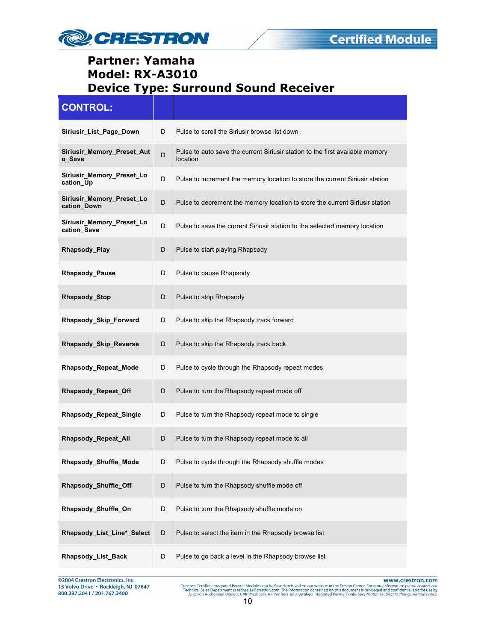

| <b>CONTROL:</b>                          |   |                                                                                           |
|------------------------------------------|---|-------------------------------------------------------------------------------------------|
| Siriusir_List_Page_Down                  | D | Pulse to scroll the Siriusir browse list down                                             |
| Siriusir_Memory_Preset_Aut<br>o_Save     | D | Pulse to auto save the current Siriusir station to the first available memory<br>location |
| Siriusir_Memory_Preset_Lo<br>cation_Up   | D | Pulse to increment the memory location to store the current Siriusir station              |
| Siriusir_Memory_Preset_Lo<br>cation_Down | D | Pulse to decrement the memory location to store the current Siriusir station              |
| Siriusir_Memory_Preset_Lo<br>cation_Save | D | Pulse to save the current Siriusir station to the selected memory location                |
| Rhapsody_Play                            | D | Pulse to start playing Rhapsody                                                           |
| Rhapsody_Pause                           | D | Pulse to pause Rhapsody                                                                   |
| Rhapsody_Stop                            | D | Pulse to stop Rhapsody                                                                    |
| Rhapsody_Skip_Forward                    | D | Pulse to skip the Rhapsody track forward                                                  |
| Rhapsody_Skip_Reverse                    | D | Pulse to skip the Rhapsody track back                                                     |
| Rhapsody_Repeat_Mode                     | D | Pulse to cycle through the Rhapsody repeat modes                                          |
| Rhapsody_Repeat_Off                      | D | Pulse to turn the Rhapsody repeat mode off                                                |
| Rhapsody_Repeat_Single                   | D | Pulse to turn the Rhapsody repeat mode to single                                          |
| Rhapsody_Repeat_All                      | D | Pulse to turn the Rhapsody repeat mode to all                                             |
| Rhapsody_Shuffle_Mode                    | D | Pulse to cycle through the Rhapsody shuffle modes                                         |
| Rhapsody_Shuffle_Off                     | D | Pulse to turn the Rhapsody shuffle mode off                                               |
| Rhapsody_Shuffle_On                      | D | Pulse to turn the Rhapsody shuffle mode on                                                |
| Rhapsody_List_Line*_Select               | D | Pulse to select the item in the Rhapsody browse list                                      |
| <b>Rhapsody List Back</b>                | D | Pulse to go back a level in the Rhapsody browse list                                      |

©2004 Crestron Electronics, Inc.<br>15 Volvo Drive • Rockleigh, NJ 07647<br>800.237.2041 / 201.767.3400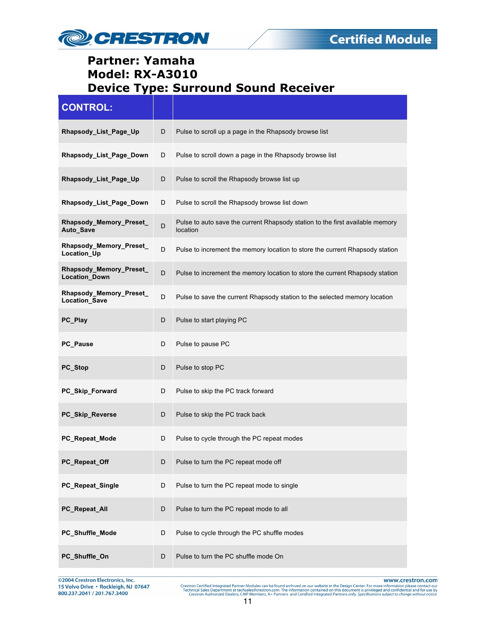

| <b>CONTROL:</b>                                       |             |                                                                                           |
|-------------------------------------------------------|-------------|-------------------------------------------------------------------------------------------|
| Rhapsody_List_Page_Up                                 | D           | Pulse to scroll up a page in the Rhapsody browse list                                     |
| Rhapsody List Page Down                               | D           | Pulse to scroll down a page in the Rhapsody browse list                                   |
| Rhapsody_List_Page_Up                                 | D           | Pulse to scroll the Rhapsody browse list up                                               |
| Rhapsody_List_Page_Down                               | D           | Pulse to scroll the Rhapsody browse list down                                             |
| Rhapsody_Memory_Preset_<br>Auto_Save                  | D           | Pulse to auto save the current Rhapsody station to the first available memory<br>location |
| Rhapsody_Memory_Preset_<br>Location_Up                | D           | Pulse to increment the memory location to store the current Rhapsody station              |
| <b>Rhapsody Memory Preset</b><br><b>Location Down</b> | D           | Pulse to increment the memory location to store the current Rhapsody station              |
| Rhapsody_Memory_Preset_<br>Location_Save              | D           | Pulse to save the current Rhapsody station to the selected memory location                |
| PC_Play                                               | D           | Pulse to start playing PC                                                                 |
| PC_Pause                                              | D           | Pulse to pause PC                                                                         |
| PC_Stop                                               | D           | Pulse to stop PC                                                                          |
| PC_Skip_Forward                                       | D           | Pulse to skip the PC track forward                                                        |
| PC_Skip_Reverse                                       | D           | Pulse to skip the PC track back                                                           |
| PC Repeat Mode                                        | D           | Pulse to cycle through the PC repeat modes                                                |
| PC Repeat Off                                         | D           | Pulse to turn the PC repeat mode off                                                      |
| PC_Repeat_Single                                      | D           | Pulse to turn the PC repeat mode to single                                                |
| PC_Repeat_All                                         | D           | Pulse to turn the PC repeat mode to all                                                   |
| PC_Shuffle_Mode                                       | D           | Pulse to cycle through the PC shuffle modes                                               |
| PC_Shuffle_On                                         | $\mathsf D$ | Pulse to turn the PC shuffle mode On                                                      |

@2004 Crestron Electronics, Inc. 15 Volvo Drive · Rockleigh, NJ 07647 800.237.2041 / 201.767.3400

www.crestron.com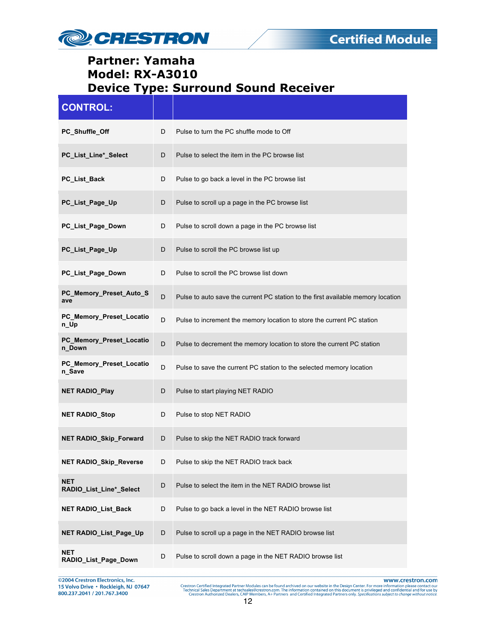

| <b>CONTROL:</b>                       |   |                                                                                  |
|---------------------------------------|---|----------------------------------------------------------------------------------|
| PC_Shuffle_Off                        | D | Pulse to turn the PC shuffle mode to Off                                         |
| PC_List_Line*_Select                  | D | Pulse to select the item in the PC browse list                                   |
| PC_List_Back                          | D | Pulse to go back a level in the PC browse list                                   |
| PC_List_Page_Up                       | D | Pulse to scroll up a page in the PC browse list                                  |
| PC_List_Page_Down                     | D | Pulse to scroll down a page in the PC browse list                                |
| PC_List_Page_Up                       | D | Pulse to scroll the PC browse list up                                            |
| PC_List_Page_Down                     | D | Pulse to scroll the PC browse list down                                          |
| PC_Memory_Preset_Auto_S<br>ave        | D | Pulse to auto save the current PC station to the first available memory location |
| PC_Memory_Preset_Locatio<br>n_Up      | D | Pulse to increment the memory location to store the current PC station           |
| PC_Memory_Preset_Locatio<br>n_Down    | D | Pulse to decrement the memory location to store the current PC station           |
| PC_Memory_Preset_Locatio<br>n_Save    | D | Pulse to save the current PC station to the selected memory location             |
| <b>NET RADIO_Play</b>                 | D | Pulse to start playing NET RADIO                                                 |
| <b>NET RADIO_Stop</b>                 | D | Pulse to stop NET RADIO                                                          |
| <b>NET RADIO_Skip_Forward</b>         | D | Pulse to skip the NET RADIO track forward                                        |
| NET RADIO_Skip_Reverse                | D | Pulse to skip the NET RADIO track back                                           |
| <b>NET</b><br>RADIO_List_Line*_Select | D | Pulse to select the item in the NET RADIO browse list                            |
| <b>NET RADIO_List_Back</b>            | D | Pulse to go back a level in the NET RADIO browse list                            |
| NET RADIO_List_Page_Up                | D | Pulse to scroll up a page in the NET RADIO browse list                           |
| <b>NET</b><br>RADIO_List_Page_Down    | D | Pulse to scroll down a page in the NET RADIO browse list                         |

@2004 Crestron Electronics, Inc.<br>15 Volvo Drive • Rockleigh, NJ 07647<br>800.237.2041 / 201.767.3400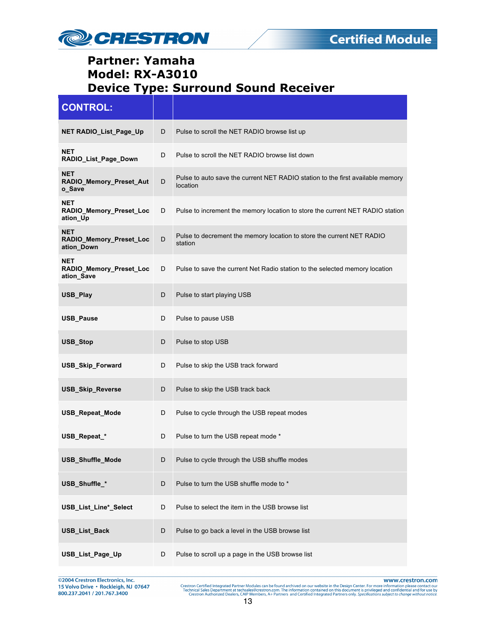

| <b>CONTROL:</b>                                     |   |                                                                                            |
|-----------------------------------------------------|---|--------------------------------------------------------------------------------------------|
| <b>NET RADIO_List_Page_Up</b>                       | D | Pulse to scroll the NET RADIO browse list up                                               |
| NET<br>RADIO_List_Page_Down                         | D | Pulse to scroll the NET RADIO browse list down                                             |
| <b>NET</b><br>RADIO_Memory_Preset_Aut<br>o_Save     | D | Pulse to auto save the current NET RADIO station to the first available memory<br>location |
| <b>NET</b><br>RADIO_Memory_Preset_Loc<br>ation_Up   | D | Pulse to increment the memory location to store the current NET RADIO station              |
| <b>NET</b><br>RADIO_Memory_Preset_Loc<br>ation Down | D | Pulse to decrement the memory location to store the current NET RADIO<br>station           |
| <b>NET</b><br>RADIO_Memory_Preset_Loc<br>ation_Save | D | Pulse to save the current Net Radio station to the selected memory location                |
| USB_Play                                            | D | Pulse to start playing USB                                                                 |
| <b>USB Pause</b>                                    | D | Pulse to pause USB                                                                         |
| USB_Stop                                            | D | Pulse to stop USB                                                                          |
| <b>USB_Skip_Forward</b>                             | D | Pulse to skip the USB track forward                                                        |
| <b>USB_Skip_Reverse</b>                             | D | Pulse to skip the USB track back                                                           |
| <b>USB_Repeat_Mode</b>                              | D | Pulse to cycle through the USB repeat modes                                                |
| USB_Repeat_*                                        | D | Pulse to turn the USB repeat mode *                                                        |
| <b>USB Shuffle Mode</b>                             | D | Pulse to cycle through the USB shuffle modes                                               |
| USB_Shuffle_*                                       | D | Pulse to turn the USB shuffle mode to *                                                    |
| USB_List_Line*_Select                               | D | Pulse to select the item in the USB browse list                                            |
| USB_List_Back                                       | D | Pulse to go back a level in the USB browse list                                            |
| USB_List_Page_Up                                    | D | Pulse to scroll up a page in the USB browse list                                           |

@2004 Crestron Electronics, Inc.<br>15 Volvo Drive • Rockleigh, NJ 07647<br>800.237.2041 / 201.767.3400

www.crestron.com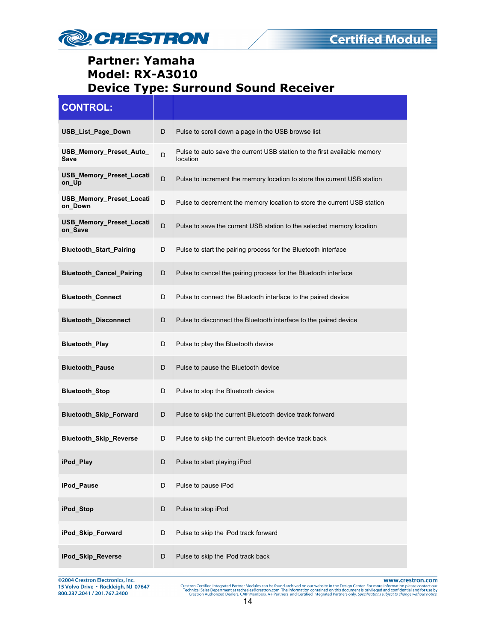

| <b>CONTROL:</b>                     |   |                                                                                      |
|-------------------------------------|---|--------------------------------------------------------------------------------------|
| USB_List_Page_Down                  | D | Pulse to scroll down a page in the USB browse list                                   |
| USB_Memory_Preset_Auto_<br>Save     | D | Pulse to auto save the current USB station to the first available memory<br>location |
| USB_Memory_Preset_Locati<br>on_Up   | D | Pulse to increment the memory location to store the current USB station              |
| USB_Memory_Preset_Locati<br>on_Down | D | Pulse to decrement the memory location to store the current USB station              |
| USB_Memory_Preset_Locati<br>on_Save | D | Pulse to save the current USB station to the selected memory location                |
| <b>Bluetooth_Start_Pairing</b>      | D | Pulse to start the pairing process for the Bluetooth interface                       |
| <b>Bluetooth Cancel Pairing</b>     | D | Pulse to cancel the pairing process for the Bluetooth interface                      |
| <b>Bluetooth_Connect</b>            | D | Pulse to connect the Bluetooth interface to the paired device                        |
| <b>Bluetooth_Disconnect</b>         | D | Pulse to disconnect the Bluetooth interface to the paired device                     |
| <b>Bluetooth_Play</b>               | D | Pulse to play the Bluetooth device                                                   |
| <b>Bluetooth_Pause</b>              | D | Pulse to pause the Bluetooth device                                                  |
| <b>Bluetooth_Stop</b>               | D | Pulse to stop the Bluetooth device                                                   |
| Bluetooth_Skip_Forward              | D | Pulse to skip the current Bluetooth device track forward                             |
| <b>Bluetooth_Skip_Reverse</b>       | D | Pulse to skip the current Bluetooth device track back                                |
| iPod Play                           | D | Pulse to start playing iPod                                                          |
| iPod_Pause                          | D | Pulse to pause iPod                                                                  |
| iPod_Stop                           | D | Pulse to stop iPod                                                                   |
| iPod_Skip_Forward                   | D | Pulse to skip the iPod track forward                                                 |
| iPod_Skip_Reverse                   | D | Pulse to skip the iPod track back                                                    |

@2004 Crestron Electronics, Inc. 15 Volvo Drive · Rockleigh, NJ 07647 800.237.2041 / 201.767.3400

www.crestron.com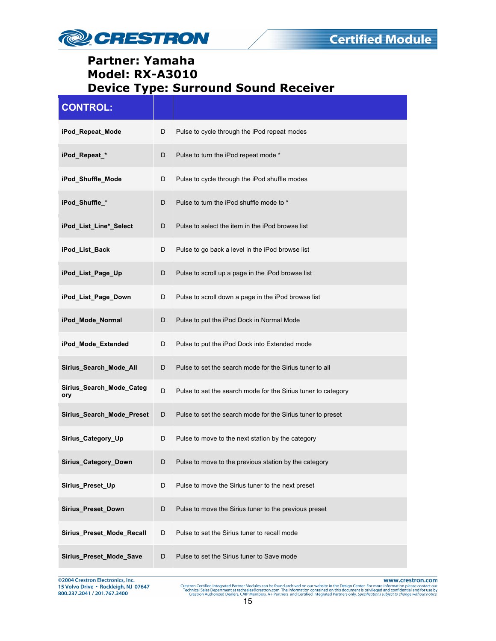

| <b>CONTROL:</b>                 |   |                                                               |
|---------------------------------|---|---------------------------------------------------------------|
| iPod_Repeat_Mode                | D | Pulse to cycle through the iPod repeat modes                  |
| iPod_Repeat_*                   | D | Pulse to turn the iPod repeat mode *                          |
| iPod_Shuffle_Mode               | D | Pulse to cycle through the iPod shuffle modes                 |
| iPod_Shuffle_*                  | D | Pulse to turn the iPod shuffle mode to *                      |
| iPod_List_Line*_Select          | D | Pulse to select the item in the iPod browse list              |
| iPod_List_Back                  | D | Pulse to go back a level in the iPod browse list              |
| iPod_List_Page_Up               | D | Pulse to scroll up a page in the iPod browse list             |
| iPod_List_Page_Down             | D | Pulse to scroll down a page in the iPod browse list           |
| iPod_Mode_Normal                | D | Pulse to put the iPod Dock in Normal Mode                     |
| iPod_Mode_Extended              | D | Pulse to put the iPod Dock into Extended mode                 |
| Sirius_Search_Mode_All          | D | Pulse to set the search mode for the Sirius tuner to all      |
| Sirius_Search_Mode_Categ<br>ory | D | Pulse to set the search mode for the Sirius tuner to category |
| Sirius_Search_Mode_Preset       | D | Pulse to set the search mode for the Sirius tuner to preset   |
| Sirius_Category_Up              | D | Pulse to move to the next station by the category             |
| Sirius_Category_Down            | D | Pulse to move to the previous station by the category         |
| Sirius_Preset_Up                | D | Pulse to move the Sirius tuner to the next preset             |
| Sirius_Preset_Down              | D | Pulse to move the Sirius tuner to the previous preset         |
| Sirius_Preset_Mode_Recall       | D | Pulse to set the Sirius tuner to recall mode                  |
| Sirius_Preset_Mode_Save         | D | Pulse to set the Sirius tuner to Save mode                    |

©2004 Crestron Electronics, Inc.<br>15 Volvo Drive • Rockleigh, NJ 07647<br>800.237.2041 / 201.767.3400

www.crestron.com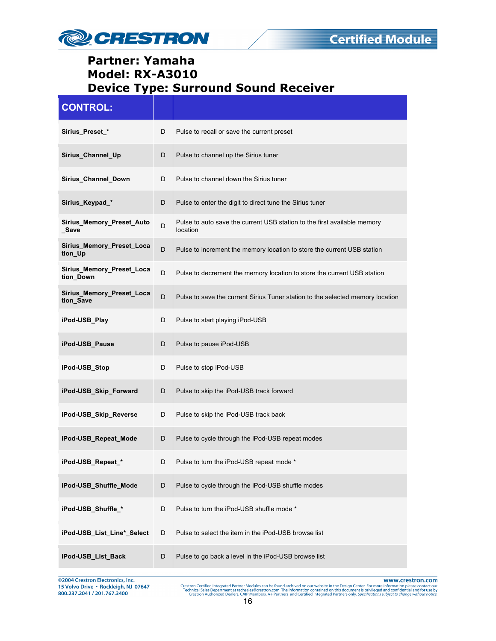

| <b>CONTROL:</b>                        |   |                                                                                      |
|----------------------------------------|---|--------------------------------------------------------------------------------------|
| Sirius_Preset_*                        | D | Pulse to recall or save the current preset                                           |
| Sirius_Channel_Up                      | D | Pulse to channel up the Sirius tuner                                                 |
| Sirius_Channel_Down                    | D | Pulse to channel down the Sirius tuner                                               |
| Sirius_Keypad_*                        | D | Pulse to enter the digit to direct tune the Sirius tuner                             |
| Sirius_Memory_Preset_Auto<br>Save      | D | Pulse to auto save the current USB station to the first available memory<br>location |
| Sirius_Memory_Preset_Loca<br>tion_Up   | D | Pulse to increment the memory location to store the current USB station              |
| Sirius_Memory_Preset_Loca<br>tion_Down | D | Pulse to decrement the memory location to store the current USB station              |
| Sirius_Memory_Preset_Loca<br>tion_Save | D | Pulse to save the current Sirius Tuner station to the selected memory location       |
| iPod-USB_Play                          | D | Pulse to start playing iPod-USB                                                      |
| iPod-USB_Pause                         | D | Pulse to pause iPod-USB                                                              |
| iPod-USB_Stop                          | D | Pulse to stop iPod-USB                                                               |
| iPod-USB_Skip_Forward                  | D | Pulse to skip the iPod-USB track forward                                             |
| iPod-USB_Skip_Reverse                  | D | Pulse to skip the iPod-USB track back                                                |
| iPod-USB_Repeat_Mode                   | D | Pulse to cycle through the iPod-USB repeat modes                                     |
| iPod-USB_Repeat_*                      | D | Pulse to turn the iPod-USB repeat mode *                                             |
| iPod-USB_Shuffle_Mode                  | D | Pulse to cycle through the iPod-USB shuffle modes                                    |
| iPod-USB_Shuffle_*                     | D | Pulse to turn the iPod-USB shuffle mode *                                            |
| iPod-USB_List_Line*_Select             | D | Pulse to select the item in the iPod-USB browse list                                 |
| iPod-USB_List_Back                     | D | Pulse to go back a level in the iPod-USB browse list                                 |

©2004 Crestron Electronics, Inc.<br>15 Volvo Drive • Rockleigh, NJ 07647<br>800.237.2041 / 201.767.3400

www.crestron.com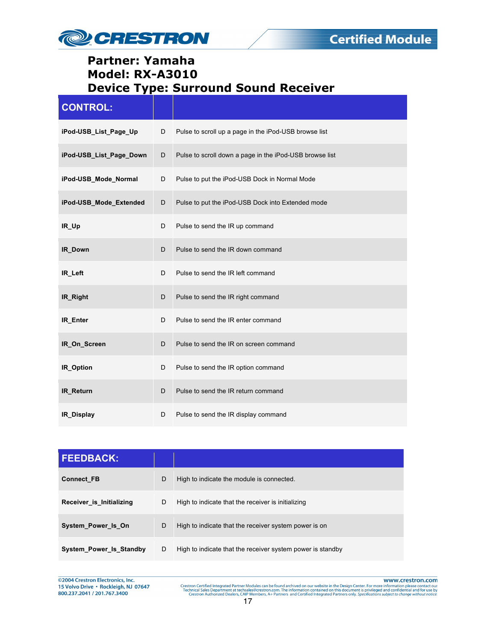

| <b>CONTROL:</b>         |   |                                                         |
|-------------------------|---|---------------------------------------------------------|
| iPod-USB_List_Page_Up   | D | Pulse to scroll up a page in the iPod-USB browse list   |
| iPod-USB List Page Down | D | Pulse to scroll down a page in the iPod-USB browse list |
| iPod-USB_Mode_Normal    | D | Pulse to put the iPod-USB Dock in Normal Mode           |
| iPod-USB_Mode_Extended  | D | Pulse to put the iPod-USB Dock into Extended mode       |
| IR_Up                   | D | Pulse to send the IR up command                         |
| IR_Down                 | D | Pulse to send the IR down command                       |
| IR Left                 | D | Pulse to send the IR left command                       |
| IR Right                | D | Pulse to send the IR right command                      |
| IR_Enter                | D | Pulse to send the IR enter command                      |
| IR_On_Screen            | D | Pulse to send the IR on screen command                  |
| IR_Option               | D | Pulse to send the IR option command                     |
| <b>IR Return</b>        | D | Pulse to send the IR return command                     |
| IR_Display              | D | Pulse to send the IR display command                    |

| <b>FEEDBACK:</b>         |   |                                                            |
|--------------------------|---|------------------------------------------------------------|
| <b>Connect FB</b>        | D | High to indicate the module is connected.                  |
| Receiver is Initializing | D | High to indicate that the receiver is initializing         |
| System Power Is On       | D | High to indicate that the receiver system power is on      |
| System Power Is Standby  | D | High to indicate that the receiver system power is standby |

@2004 Crestron Electronics, Inc.<br>15 Volvo Drive • Rockleigh, NJ 07647 800.237.2041 / 201.767.3400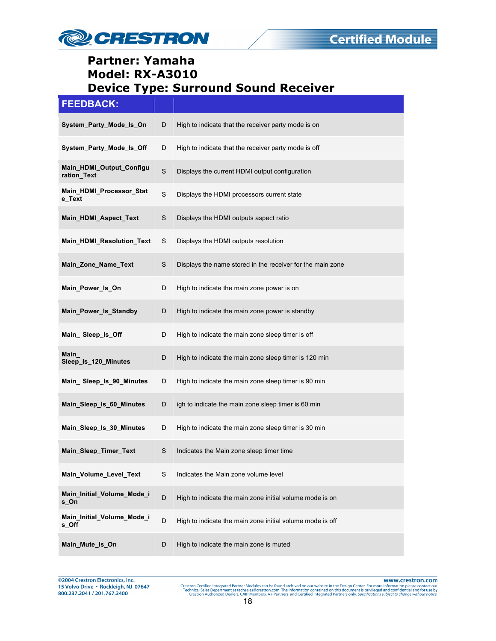

#### **FEEDBACK:**

| ---------                               |             |                                                            |
|-----------------------------------------|-------------|------------------------------------------------------------|
| System_Party_Mode_Is_On                 | D           | High to indicate that the receiver party mode is on        |
| System_Party_Mode_Is_Off                | D           | High to indicate that the receiver party mode is off       |
| Main_HDMI_Output_Configu<br>ration Text | $\mathbf S$ | Displays the current HDMI output configuration             |
| Main_HDMI_Processor_Stat<br>e_Text      | $\mathbf S$ | Displays the HDMI processors current state                 |
| Main_HDMI_Aspect_Text                   | $\mathbf S$ | Displays the HDMI outputs aspect ratio                     |
| Main_HDMI_Resolution_Text               | S           | Displays the HDMI outputs resolution                       |
| Main_Zone_Name_Text                     | S           | Displays the name stored in the receiver for the main zone |
| Main_Power_Is_On                        | D           | High to indicate the main zone power is on                 |
| Main_Power_Is_Standby                   | D           | High to indicate the main zone power is standby            |
| Main_Sleep_ls_Off                       | D           | High to indicate the main zone sleep timer is off          |
| Main<br>Sleep_Is_120_Minutes            | D           | High to indicate the main zone sleep timer is 120 min      |
| Main_Sleep_ls_90_Minutes                | D           | High to indicate the main zone sleep timer is 90 min       |
| Main_Sleep_Is_60_Minutes                | D           | igh to indicate the main zone sleep timer is 60 min        |
| Main_Sleep_Is_30_Minutes                | D           | High to indicate the main zone sleep timer is 30 min       |
| Main_Sleep_Timer_Text                   | S           | Indicates the Main zone sleep timer time                   |
| Main_Volume_Level_Text                  | S           | Indicates the Main zone volume level                       |
| Main_Initial_Volume_Mode_i<br>s_On      | D           | High to indicate the main zone initial volume mode is on   |
| Main_Initial_Volume_Mode_i<br>s_Off     | D           | High to indicate the main zone initial volume mode is off  |
| Main_Mute_ls_On                         | D           | High to indicate the main zone is muted                    |

@2004 Crestron Electronics, Inc. 15 Volvo Drive · Rockleigh, NJ 07647 800.237.2041 / 201.767.3400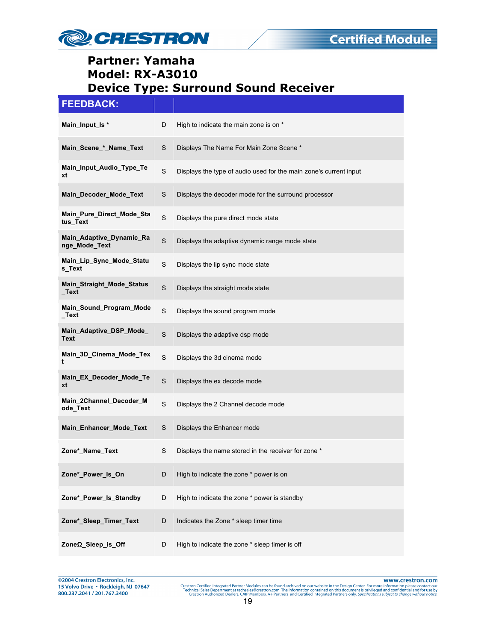

| <b>FEEDBACK:</b>                          |             |                                                                   |
|-------------------------------------------|-------------|-------------------------------------------------------------------|
| Main Input Is *                           | D           | High to indicate the main zone is on *                            |
| Main_Scene_*_Name_Text                    | S           | Displays The Name For Main Zone Scene *                           |
| Main_Input_Audio_Type_Te<br>xt            | S           | Displays the type of audio used for the main zone's current input |
| Main_Decoder_Mode_Text                    | S           | Displays the decoder mode for the surround processor              |
| Main_Pure_Direct_Mode_Sta<br>tus_Text     | S           | Displays the pure direct mode state                               |
| Main_Adaptive_Dynamic_Ra<br>nge_Mode_Text | S           | Displays the adaptive dynamic range mode state                    |
| Main_Lip_Sync_Mode_Statu<br>s_Text        | S           | Displays the lip sync mode state                                  |
| Main_Straight_Mode_Status<br>_Text        | S           | Displays the straight mode state                                  |
| Main_Sound_Program_Mode<br>_Text          | $\mathsf S$ | Displays the sound program mode                                   |
| Main Adaptive DSP Mode<br>Text            | S           | Displays the adaptive dsp mode                                    |
| Main_3D_Cinema_Mode_Tex<br>t              | $\mathsf S$ | Displays the 3d cinema mode                                       |
| Main_EX_Decoder_Mode_Te<br>xt             | $\mathbb S$ | Displays the ex decode mode                                       |
| Main_2Channel_Decoder_M<br>ode_Text       | S           | Displays the 2 Channel decode mode                                |
| Main_Enhancer_Mode_Text                   | S           | Displays the Enhancer mode                                        |
| Zone*_Name_Text                           | S           | Displays the name stored in the receiver for zone *               |
| Zone*_Power_Is_On                         | D           | High to indicate the zone * power is on                           |
| Zone*_Power_Is_Standby                    | D           | High to indicate the zone * power is standby                      |
| Zone*_Sleep_Timer_Text                    | D           | Indicates the Zone * sleep timer time                             |
| ZoneΩ_Sleep_is_Off                        | D           | High to indicate the zone * sleep timer is off                    |

@2004 Crestron Electronics, Inc.<br>15 Volvo Drive • Rockleigh, NJ 07647 800.237.2041 / 201.767.3400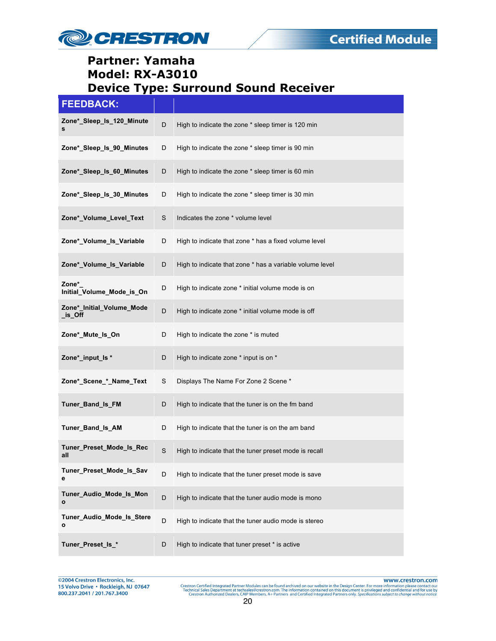

| <b>FEEDBACK:</b>                     |   |                                                          |
|--------------------------------------|---|----------------------------------------------------------|
| Zone* Sleep Is 120 Minute<br>s       | D | High to indicate the zone * sleep timer is 120 min       |
| Zone*_Sleep_Is_90_Minutes            | D | High to indicate the zone * sleep timer is 90 min        |
| Zone*_Sleep_ls_60_Minutes            | D | High to indicate the zone * sleep timer is 60 min        |
| Zone* Sleep Is 30 Minutes            | D | High to indicate the zone * sleep timer is 30 min        |
| Zone*_Volume_Level_Text              | S | Indicates the zone * volume level                        |
| Zone*_Volume_Is_Variable             | D | High to indicate that zone * has a fixed volume level    |
| Zone*_Volume_Is_Variable             | D | High to indicate that zone * has a variable volume level |
| Zone*<br>Initial_Volume_Mode_is_On   | D | High to indicate zone * initial volume mode is on        |
| Zone*_Initial_Volume_Mode<br>_is_Off | D | High to indicate zone * initial volume mode is off       |
| Zone*_Mute_Is_On                     | D | High to indicate the zone * is muted                     |
| Zone*_input_ls *                     | D | High to indicate zone * input is on *                    |
| Zone*_Scene_*_Name_Text              | S | Displays The Name For Zone 2 Scene *                     |
| Tuner_Band_Is_FM                     | D | High to indicate that the tuner is on the fm band        |
| Tuner_Band_Is_AM                     | D | High to indicate that the tuner is on the am band        |
| Tuner_Preset_Mode_Is_Rec<br>all      | S | High to indicate that the tuner preset mode is recall    |
| Tuner_Preset_Mode_Is_Sav<br>е        | D | High to indicate that the tuner preset mode is save      |
| Tuner_Audio_Mode_Is_Mon<br>o         | D | High to indicate that the tuner audio mode is mono       |
| Tuner_Audio_Mode_Is_Stere<br>o       | D | High to indicate that the tuner audio mode is stereo     |
| Tuner_Preset_ls_*                    | D | High to indicate that tuner preset * is active           |

@2004 Crestron Electronics, Inc.<br>15 Volvo Drive • Rockleigh, NJ 07647 800.237.2041 / 201.767.3400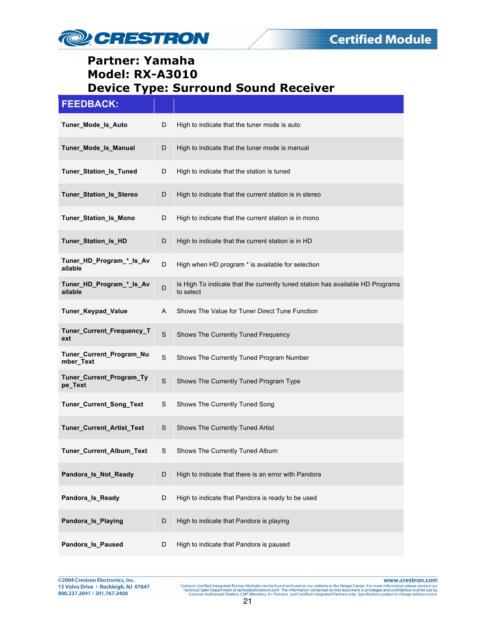

| <b>FEEDBACK:</b>                      |             |                                                                                             |
|---------------------------------------|-------------|---------------------------------------------------------------------------------------------|
| Tuner_Mode_Is_Auto                    | D           | High to indicate that the tuner mode is auto                                                |
| Tuner_Mode_Is_Manual                  | D           | High to indicate that the tuner mode is manual                                              |
| Tuner_Station_Is_Tuned                | D           | High to indicate that the station is tuned                                                  |
| Tuner_Station_Is_Stereo               | D           | High to indicate that the current station is in stereo                                      |
| Tuner_Station_Is_Mono                 | D           | High to indicate that the current station is in mono                                        |
| Tuner_Station_Is_HD                   | D           | High to indicate that the current station is in HD                                          |
| Tuner_HD_Program_*_Is_Av<br>ailable   | D           | High when HD program * is available for selection                                           |
| Tuner_HD_Program_*_Is_Av<br>ailable   | D           | Is High To indicate that the currently tuned station has available HD Programs<br>to select |
| Tuner_Keypad_Value                    | A           | Shows The Value for Tuner Direct Tune Function                                              |
| Tuner_Current_Frequency_T<br>ext      | $\mathbf S$ | Shows The Currently Tuned Frequency                                                         |
| Tuner_Current_Program_Nu<br>mber_Text | $\mathsf S$ | Shows The Currently Tuned Program Number                                                    |
| Tuner_Current_Program_Ty<br>pe_Text   | $\mathbf S$ | Shows The Currently Tuned Program Type                                                      |
| Tuner_Current_Song_Text               | S           | Shows The Currently Tuned Song                                                              |
| Tuner_Current_Artist_Text             | S           | Shows The Currently Tuned Artist                                                            |
| Tuner_Current_Album_Text              | S           | Shows The Currently Tuned Album                                                             |
| Pandora_Is_Not_Ready                  | D           | High to indicate that there is an error with Pandora                                        |
| Pandora_Is_Ready                      | D           | High to indicate that Pandora is ready to be used                                           |
| Pandora_Is_Playing                    | D           | High to indicate that Pandora is playing                                                    |
| Pandora Is Paused                     | D           | High to indicate that Pandora is paused                                                     |

@2004 Crestron Electronics, Inc.<br>15 Volvo Drive • Rockleigh, NJ 07647 800.237.2041 / 201.767.3400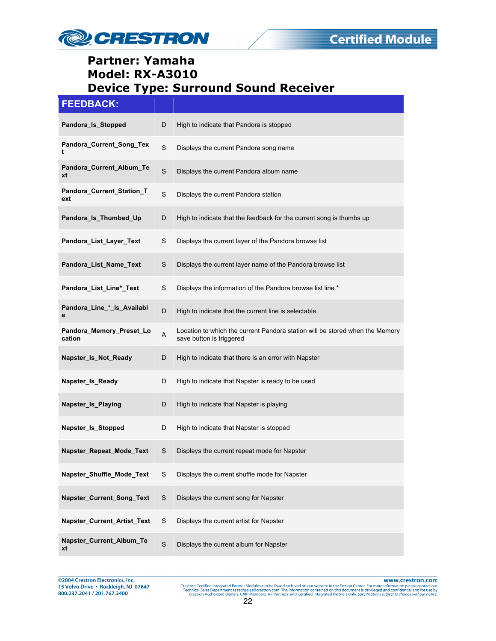

| <b>FEEDBACK:</b>                   |             |                                                                                                          |
|------------------------------------|-------------|----------------------------------------------------------------------------------------------------------|
| Pandora_Is_Stopped                 | D           | High to indicate that Pandora is stopped                                                                 |
| Pandora_Current_Song_Tex<br>t      | $\mathbf S$ | Displays the current Pandora song name                                                                   |
| Pandora_Current_Album_Te<br>xt     | $\mathbf S$ | Displays the current Pandora album name                                                                  |
| Pandora_Current_Station_T<br>ext   | $\mathbf S$ | Displays the current Pandora station                                                                     |
| Pandora_Is_Thumbed_Up              | D           | High to indicate that the feedback for the current song is thumbs up                                     |
| Pandora_List_Layer_Text            | S           | Displays the current layer of the Pandora browse list                                                    |
| Pandora_List_Name_Text             | S           | Displays the current layer name of the Pandora browse list                                               |
| Pandora_List_Line*_Text            | S           | Displays the information of the Pandora browse list line *                                               |
| Pandora_Line_*_Is_Availabl<br>е    | D           | High to indicate that the current line is selectable.                                                    |
| Pandora_Memory_Preset_Lo<br>cation | A           | Location to which the current Pandora station will be stored when the Memory<br>save button is triggered |
| Napster_Is_Not_Ready               | D           | High to indicate that there is an error with Napster                                                     |
| Napster_Is_Ready                   | D           | High to indicate that Napster is ready to be used                                                        |
| Napster_Is_Playing                 | D           | High to indicate that Napster is playing                                                                 |
| Napster_Is_Stopped                 | D           | High to indicate that Napster is stopped                                                                 |
| Napster_Repeat_Mode_Text           | S           | Displays the current repeat mode for Napster                                                             |
| Napster_Shuffle_Mode_Text          | S           | Displays the current shuffle mode for Napster                                                            |
| Napster_Current_Song_Text          | $\mathsf S$ | Displays the current song for Napster                                                                    |
| Napster_Current_Artist_Text        | S           | Displays the current artist for Napster                                                                  |
| Napster_Current_Album_Te<br>xt     | $\mathbf S$ | Displays the current album for Napster                                                                   |

@2004 Crestron Electronics, Inc. 15 Volvo Drive · Rockleigh, NJ 07647 800.237.2041 / 201.767.3400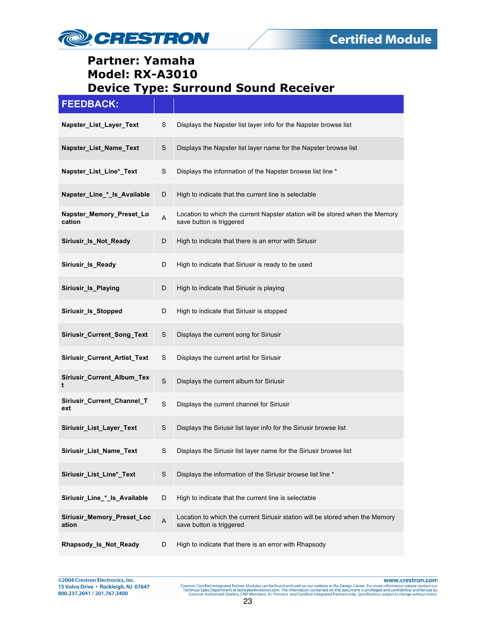

| <b>FEEDBACK:</b>                    |         |                                                                                                           |
|-------------------------------------|---------|-----------------------------------------------------------------------------------------------------------|
| Napster_List_Layer_Text             | S       | Displays the Napster list layer info for the Napster browse list                                          |
| Napster_List_Name_Text              | S       | Displays the Napster list layer name for the Napster browse list                                          |
| Napster_List_Line*_Text             | S       | Displays the information of the Napster browse list line *                                                |
| Napster_Line_*_ls_Available         | D       | High to indicate that the current line is selectable                                                      |
| Napster_Memory_Preset_Lo<br>cation  | A       | Location to which the current Napster station will be stored when the Memory<br>save button is triggered  |
| Siriusir_Is_Not_Ready               | D       | High to indicate that there is an error with Siriusir                                                     |
| Siriusir Is Ready                   | D       | High to indicate that Siriusir is ready to be used                                                        |
| Siriusir_Is_Playing                 | D       | High to indicate that Siriusir is playing                                                                 |
| Siriusir_Is_Stopped                 | D       | High to indicate that Siriusir is stopped                                                                 |
| Siriusir_Current_Song_Text          | S       | Displays the current song for Siriusir                                                                    |
| Siriusir_Current_Artist_Text        | S       | Displays the current artist for Siriusir                                                                  |
| Siriusir_Current_Album_Tex<br>t     | S       | Displays the current album for Siriusir                                                                   |
| Siriusir_Current_Channel_T<br>ext   | S       | Displays the current channel for Siriusir                                                                 |
| Siriusir_List_Layer_Text            | S       | Displays the Siriusir list layer info for the Siriusir browse list                                        |
| Siriusir_List_Name_Text             | S       | Displays the Siriusir list layer name for the Siriusir browse list                                        |
| Siriusir_List_Line*_Text            | S       | Displays the information of the Siriusir browse list line *                                               |
| Siriusir_Line_*_ls_Available        | D       | High to indicate that the current line is selectable                                                      |
| Siriusir_Memory_Preset_Loc<br>ation | $\sf A$ | Location to which the current Siriusir station will be stored when the Memory<br>save button is triggered |
| Rhapsody_Is_Not_Ready               | D       | High to indicate that there is an error with Rhapsody                                                     |

@2004 Crestron Electronics, Inc.<br>15 Volvo Drive • Rockleigh, NJ 07647 800.237.2041 / 201.767.3400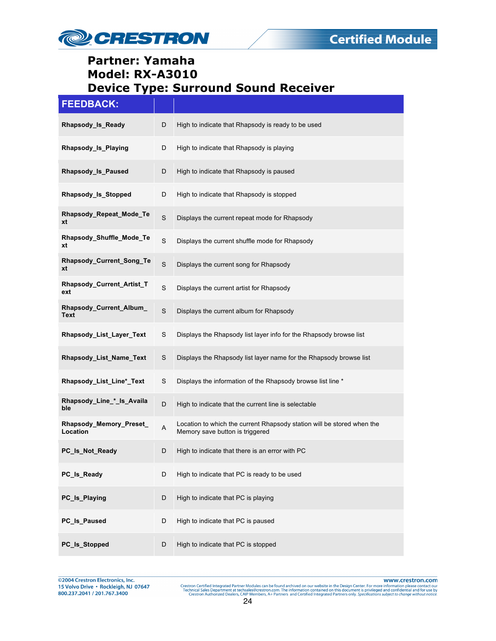

| <b>FEEDBACK:</b>                    |             |                                                                                                           |
|-------------------------------------|-------------|-----------------------------------------------------------------------------------------------------------|
| Rhapsody Is Ready                   | D           | High to indicate that Rhapsody is ready to be used                                                        |
| Rhapsody_Is_Playing                 | D           | High to indicate that Rhapsody is playing                                                                 |
| Rhapsody_Is_Paused                  | D           | High to indicate that Rhapsody is paused                                                                  |
| Rhapsody_Is_Stopped                 | D           | High to indicate that Rhapsody is stopped                                                                 |
| Rhapsody_Repeat_Mode_Te<br>xt       | S           | Displays the current repeat mode for Rhapsody                                                             |
| Rhapsody_Shuffle_Mode_Te<br>xt      | $\mathbf S$ | Displays the current shuffle mode for Rhapsody                                                            |
| Rhapsody_Current_Song_Te<br>xt      | S           | Displays the current song for Rhapsody                                                                    |
| Rhapsody_Current_Artist_T<br>ext    | S           | Displays the current artist for Rhapsody                                                                  |
| Rhapsody_Current_Album_<br>Text     | S           | Displays the current album for Rhapsody                                                                   |
| Rhapsody_List_Layer_Text            | S           | Displays the Rhapsody list layer info for the Rhapsody browse list                                        |
| Rhapsody_List_Name_Text             | S           | Displays the Rhapsody list layer name for the Rhapsody browse list                                        |
| Rhapsody_List_Line*_Text            | S           | Displays the information of the Rhapsody browse list line *                                               |
| Rhapsody_Line_*_Is_Availa<br>ble    | D           | High to indicate that the current line is selectable                                                      |
| Rhapsody_Memory_Preset_<br>Location | A           | Location to which the current Rhapsody station will be stored when the<br>Memory save button is triggered |
| PC Is Not Ready                     | D           | High to indicate that there is an error with PC                                                           |
| PC_Is_Ready                         | D           | High to indicate that PC is ready to be used                                                              |
| PC_Is_Playing                       | D           | High to indicate that PC is playing                                                                       |
| PC_Is_Paused                        | D           | High to indicate that PC is paused                                                                        |
| PC_Is_Stopped                       | D           | High to indicate that PC is stopped                                                                       |

@2004 Crestron Electronics, Inc. 15 Volvo Drive · Rockleigh, NJ 07647 800.237.2041 / 201.767.3400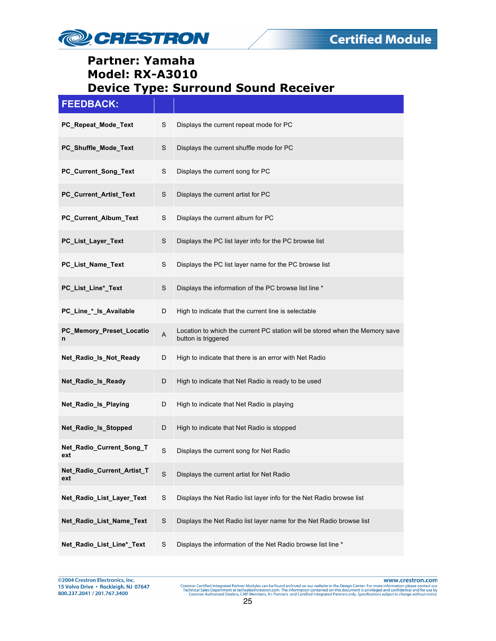

| <b>FEEDBACK:</b>                  |                           |                                                                                                     |
|-----------------------------------|---------------------------|-----------------------------------------------------------------------------------------------------|
| PC_Repeat_Mode_Text               | S                         | Displays the current repeat mode for PC                                                             |
| PC_Shuffle_Mode_Text              | S                         | Displays the current shuffle mode for PC                                                            |
| PC_Current_Song_Text              | S                         | Displays the current song for PC                                                                    |
| PC_Current_Artist_Text            | S                         | Displays the current artist for PC                                                                  |
| PC_Current_Album_Text             | S                         | Displays the current album for PC                                                                   |
| PC_List_Layer_Text                | S                         | Displays the PC list layer info for the PC browse list                                              |
| PC_List_Name_Text                 | S                         | Displays the PC list layer name for the PC browse list                                              |
| PC_List_Line*_Text                | $\mathbf S$               | Displays the information of the PC browse list line *                                               |
| PC_Line_*_ls_Available            | D                         | High to indicate that the current line is selectable                                                |
| PC_Memory_Preset_Locatio<br>n     | $\boldsymbol{\mathsf{A}}$ | Location to which the current PC station will be stored when the Memory save<br>button is triggered |
| Net_Radio_Is_Not_Ready            | D                         | High to indicate that there is an error with Net Radio                                              |
| Net_Radio_Is_Ready                | D                         | High to indicate that Net Radio is ready to be used                                                 |
| Net_Radio_Is_Playing              | D                         | High to indicate that Net Radio is playing                                                          |
| Net_Radio_Is_Stopped              | D                         | High to indicate that Net Radio is stopped                                                          |
| Net_Radio_Current_Song_T<br>ext   | S                         | Displays the current song for Net Radio                                                             |
| Net_Radio_Current_Artist_T<br>ext | $\mathbf S$               | Displays the current artist for Net Radio                                                           |
| Net_Radio_List_Layer_Text         | $\mathbf S$               | Displays the Net Radio list layer info for the Net Radio browse list                                |
| Net_Radio_List_Name_Text          | $\mathsf S$               | Displays the Net Radio list layer name for the Net Radio browse list                                |
| Net_Radio_List_Line*_Text         | $\mathsf S$               | Displays the information of the Net Radio browse list line *                                        |

@2004 Crestron Electronics, Inc.<br>15 Volvo Drive • Rockleigh, NJ 07647 800.237.2041 / 201.767.3400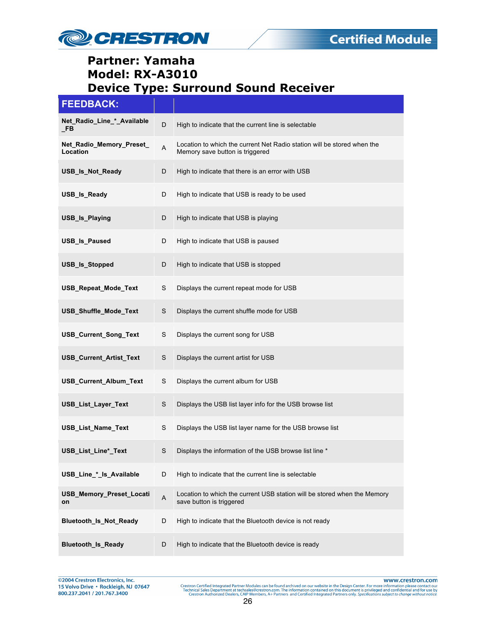

#### **FEEDBACK:**

| Net_Radio_Line_*_Available<br>_FB    | D | High to indicate that the current line is selectable                                                       |
|--------------------------------------|---|------------------------------------------------------------------------------------------------------------|
| Net_Radio_Memory_Preset_<br>Location | A | Location to which the current Net Radio station will be stored when the<br>Memory save button is triggered |
| USB_Is_Not_Ready                     | D | High to indicate that there is an error with USB                                                           |
| USB_Is_Ready                         | D | High to indicate that USB is ready to be used                                                              |
| USB_Is_Playing                       | D | High to indicate that USB is playing                                                                       |
| <b>USB_Is_Paused</b>                 | D | High to indicate that USB is paused                                                                        |
| USB_Is_Stopped                       | D | High to indicate that USB is stopped                                                                       |
| USB_Repeat_Mode_Text                 | S | Displays the current repeat mode for USB                                                                   |
| USB_Shuffle_Mode_Text                | S | Displays the current shuffle mode for USB                                                                  |
| USB_Current_Song_Text                | S | Displays the current song for USB                                                                          |
| USB_Current_Artist_Text              | S | Displays the current artist for USB                                                                        |
| USB_Current_Album_Text               | S | Displays the current album for USB                                                                         |
| USB_List_Layer_Text                  | S | Displays the USB list layer info for the USB browse list                                                   |
| <b>USB List Name Text</b>            | S | Displays the USB list layer name for the USB browse list                                                   |
| USB_List_Line*_Text                  | S | Displays the information of the USB browse list line *                                                     |
| USB_Line_*_ls_Available              | D | High to indicate that the current line is selectable                                                       |
| USB_Memory_Preset_Locati<br>on       | A | Location to which the current USB station will be stored when the Memory<br>save button is triggered       |
| Bluetooth_Is_Not_Ready               | D | High to indicate that the Bluetooth device is not ready                                                    |
| <b>Bluetooth_Is_Ready</b>            | D | High to indicate that the Bluetooth device is ready                                                        |

@2004 Crestron Electronics, Inc. 15 Volvo Drive · Rockleigh, NJ 07647 800.237.2041 / 201.767.3400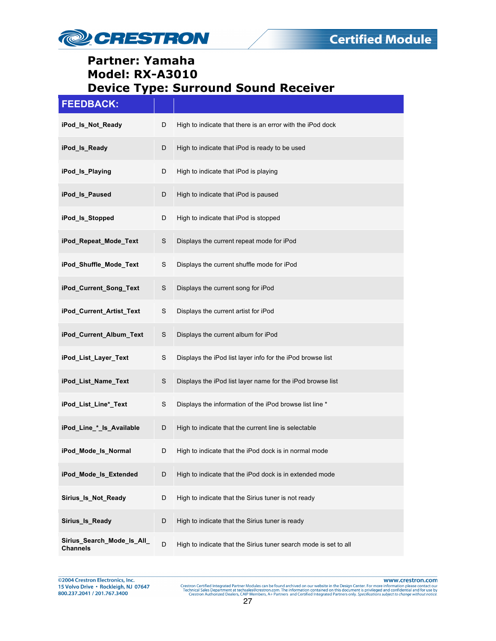

| <b>FEEDBACK:</b>                              |   |                                                                  |
|-----------------------------------------------|---|------------------------------------------------------------------|
| iPod_ls_Not_Ready                             | D | High to indicate that there is an error with the iPod dock       |
| iPod_ls_Ready                                 | D | High to indicate that iPod is ready to be used                   |
| iPod_ls_Playing                               | D | High to indicate that iPod is playing                            |
| iPod_ls_Paused                                | D | High to indicate that iPod is paused                             |
| iPod_ls_Stopped                               | D | High to indicate that iPod is stopped                            |
| iPod_Repeat_Mode_Text                         | S | Displays the current repeat mode for iPod                        |
| iPod_Shuffle_Mode_Text                        | S | Displays the current shuffle mode for iPod                       |
| iPod_Current_Song_Text                        | S | Displays the current song for iPod                               |
| iPod_Current_Artist_Text                      | S | Displays the current artist for iPod                             |
| iPod_Current_Album_Text                       | S | Displays the current album for iPod                              |
| iPod_List_Layer_Text                          | S | Displays the iPod list layer info for the iPod browse list       |
| iPod_List_Name_Text                           | S | Displays the iPod list layer name for the iPod browse list       |
| iPod_List_Line*_Text                          | S | Displays the information of the iPod browse list line *          |
| iPod_Line_*_Is_Available                      | D | High to indicate that the current line is selectable             |
| iPod_Mode_Is_Normal                           | D | High to indicate that the iPod dock is in normal mode            |
| iPod_Mode_Is_Extended                         | D | High to indicate that the iPod dock is in extended mode          |
| Sirius_Is_Not_Ready                           | D | High to indicate that the Sirius tuner is not ready              |
| Sirius_Is_Ready                               | D | High to indicate that the Sirius tuner is ready                  |
| Sirius_Search_Mode_Is_All_<br><b>Channels</b> | D | High to indicate that the Sirius tuner search mode is set to all |

@2004 Crestron Electronics, Inc.<br>15 Volvo Drive • Rockleigh, NJ 07647 800.237.2041 / 201.767.3400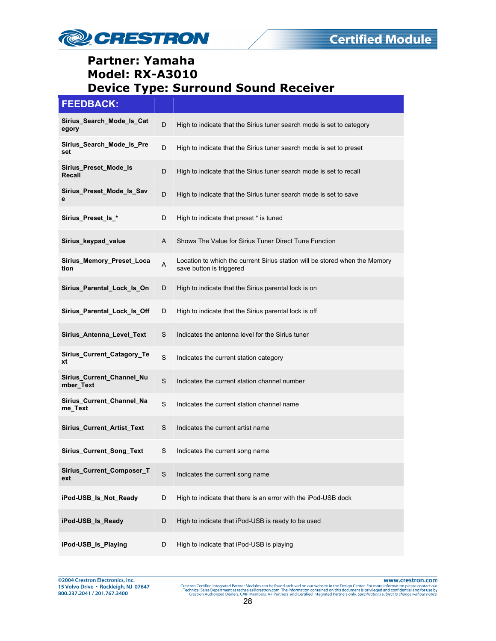

# **FEEDBACK: Sirius\_Search\_Mode\_Is\_Cat egory** D High to indicate that the Sirius tuner search mode is set to category **Sirius\_Search\_Mode\_Is\_Pre sirius** search mode is Pre <br>set<br>**set Sirius\_Preset\_Mode\_Is Recall** D High to indicate that the Sirius tuner search mode is set to recall **Sirius\_Preset\_Mode\_Is\_Sav e** D High to indicate that the Sirius tuner search mode is set to save **Sirius Preset Is \*** D High to indicate that preset \* is tuned **Sirius\_keypad\_value** A Shows The Value for Sirius Tuner Direct Tune Function **Sirius\_Memory\_Preset\_Loca Sirius\_Memory\_Preset\_Loca**<br> **tion** save button is triggered<br> **tion** save button is triggered **Sirius\_Parental\_Lock\_Is\_On** D High to indicate that the Sirius parental lock is on **Sirius\_Parental\_Lock\_Is\_Off** D High to indicate that the Sirius parental lock is off **Sirius\_Antenna\_Level\_Text** S Indicates the antenna level for the Sirius tuner **Sirius\_Current\_Catagory\_Te xt** Sinus\_Current\_Catagory\_Te Sundicates the current station category **Sirius\_Current\_Channel\_Nu manual Community Community Community** S Indicates the current station channel number mber **Sirius\_Current\_Channel\_Na** S Indicates the current station channel name **Sirius Current Artist Text** S Indicates the current artist name **Sirius Current Song Text** S Indicates the current song name **Sirius\_Current\_Composer\_T ext** SILING CONSERVIATION STATES FOR STATE STATES EXTERNAL EXTREMENDENT SOME DETAILS AND CONTROLLER STATES. **iPod-USB\_Is\_Not\_Ready** D High to indicate that there is an error with the iPod-USB dock **iPod-USB\_Is\_Ready** D High to indicate that iPod-USB is ready to be used **iPod-USB\_Is\_Playing**  $D$  High to indicate that iPod-USB is playing

@2004 Crestron Electronics, Inc. 15 Volvo Drive · Rockleigh, NJ 07647 800.237.2041 / 201.767.3400

www.crestron.com Crestron Certified Integrated Partner Modules can be found archived on our website in the Design Center. For more information please contact our Technical Sales Department at technical Sales Department at technical Sales D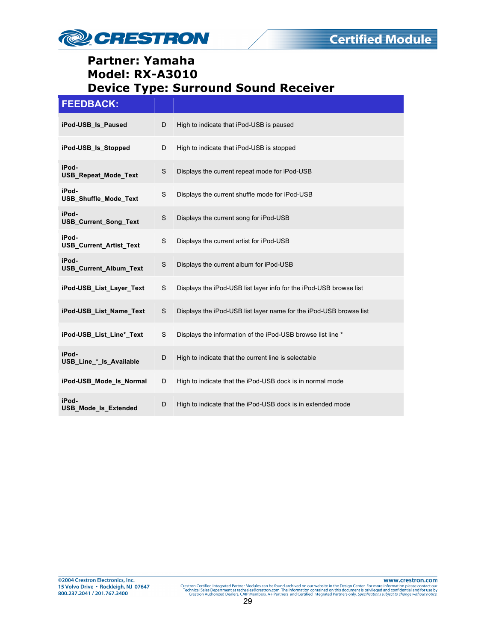

#### **FEEDBACK:**

| iPod-USB Is Paused                      | D | High to indicate that iPod-USB is paused                           |
|-----------------------------------------|---|--------------------------------------------------------------------|
| iPod-USB Is Stopped                     | D | High to indicate that iPod-USB is stopped                          |
| iPod-<br><b>USB_Repeat_Mode_Text</b>    | S | Displays the current repeat mode for iPod-USB                      |
| iPod-<br><b>USB Shuffle Mode Text</b>   | S | Displays the current shuffle mode for iPod-USB                     |
| iPod-<br><b>USB Current Song Text</b>   | S | Displays the current song for iPod-USB                             |
| iPod-<br><b>USB Current Artist Text</b> | S | Displays the current artist for iPod-USB                           |
| iPod-<br><b>USB Current Album Text</b>  | S | Displays the current album for iPod-USB                            |
| iPod-USB List Layer Text                | S | Displays the iPod-USB list layer info for the iPod-USB browse list |
| iPod-USB List Name Text                 | S | Displays the iPod-USB list layer name for the iPod-USB browse list |
| iPod-USB List Line* Text                | S | Displays the information of the iPod-USB browse list line *        |
| iPod-<br>USB Line * Is Available        | D | High to indicate that the current line is selectable               |
| iPod-USB Mode Is Normal                 | D | High to indicate that the iPod-USB dock is in normal mode          |
| iPod-<br><b>USB Mode Is Extended</b>    | D | High to indicate that the iPod-USB dock is in extended mode        |